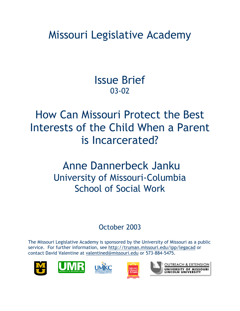Missouri Legislative Academy

Issue Brief 03-02

How Can Missouri Protect the Best Interests of the Child When a Parent is Incarcerated?

# Anne Dannerbeck Janku University of Missouri-Columbia School of Social Work

### October 2003

The Missouri Legislative Academy is sponsored by the University of Missouri as a public service. For further information, see http://truman.missouri.edu/ipp/legacad or contact David Valentine at valentined@missouri.edu or 573-884-5475.









**OUTREACH & EXTENSION** UNIVERSITY OF MISSOURI<br>LINCOLN UNIVERSITY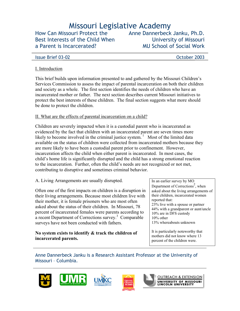## Missouri Legislative Academy

How Can Missouri Protect the Best Interests of the Child When a Parent is Incarcerated?

Anne Dannerbeck Janku, Ph.D. University of Missouri MU School of Social Work

#### **Issue Brief 03-02 Contract Contract Contract Contract Contract Contract Contract Contract Contract Contract Contract Contract Contract Contract Contract Contract Contract Contract Contract Contract Contract Contract Con**

#### I. Introduction

This brief builds upon information presented to and gathered by the Missouri Children's Services Commission to assess the impact of parental incarceration on both their children and society as a whole. The first section identifies the needs of children who have an incarcerated mother or father. The next section describes current Missouri initiatives to protect the best interests of these children. The final section suggests what more should be done to protect the children.

#### II. What are the effects of parental incarceration on a child?

Children are severely impacted when it is a custodial parent who is incarcerated as evidenced by the fact that children with an incarcerated parent are seven times more likely to become involved in the criminal justice system.<sup>1</sup> Most of the limited data available on the status of children were collected from incarcerated mothers because they are more likely to have been a custodial parent prior to confinement. However, incarceration affects the child when either parent is incarcerated. In most cases, the child's home life is significantly disrupted and the child has a strong emotional reaction to the incarceration. Further, often the child's needs are not recognized or not met, contributing to disruptive and sometimes criminal behavior.

A. Living Arrangements are usually disrupted.

Often one of the first impacts on children is a disruption in their living arrangements. Because most children live with their mother, it is female prisoners who are most often asked about the status of their children. In Missouri, 78 percent of incarcerated females were parents according to a recent Department of Corrections survey. $3$  Comparable surveys have not been conducted with fathers.

#### **No system exists to identify & track the children of incarcerated parents.**

In an earlier survey by MO Department of Corrections<sup>2</sup>, when asked about the living arrangements of their children, incarcerated women reported that: 23% live with a spouse or partner 44% with a grandparent or aunt/uncle 10% are in DFS custody 10% other 13% whereabouts unknown

It is particularly noteworthy that mothers did not know where 13 percent of the children were.

Anne Dannerbeck Janku is a Research Assistant Professor at the University of Missouri – Columbia.









**OUTREACH & EXTENSION** UNIVERSITY OF MISSOURI<br>LINCOLN UNIVERSITY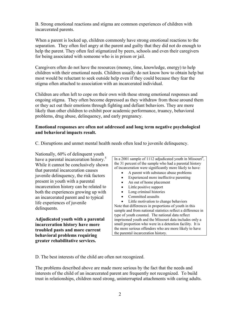B. Strong emotional reactions and stigma are common experiences of children with incarcerated parents.

When a parent is locked up, children commonly have strong emotional reactions to the separation. They often feel angry at the parent and guilty that they did not do enough to help the parent. They often feel stigmatized by peers, schools and even their caregivers for being associated with someone who is in prison or jail.

Caregivers often do not have the resources (money, time, knowledge, energy) to help children with their emotional needs. Children usually do not know how to obtain help but most would be reluctant to seek outside help even if they could because they fear the stigma often attached to association with an incarcerated individual.

Children are often left to cope on their own with these strong emotional responses and ongoing stigma. They often become depressed as they withdraw from those around them or they act out their emotions through fighting and defiant behaviors. They are more likely than other children to exhibit poor academic performance, truancy, behavioral problems, drug abuse, delinquency, and early pregnancy.

#### **Emotional responses are often not addressed and long term negative psychological and behavioral impacts result.**

C. Disruptions and unmet mental health needs often lead to juvenile delinquency.

Nationally, 60% of delinquent youth have a parental incarceration history.<sup>5</sup> While it cannot be conclusively shown that parental incarceration causes juvenile delinquency, the risk factors present in youth with a parental incarceration history can be related to both the experiences growing up with an incarcerated parent and to typical life experiences of juvenile delinquents.

**Adjudicated youth with a parental incarceration history have more troubled pasts and more current behavioral problems requiring greater rehabilitative services.** 

In a 2001 sample of 1112 adjudicated youth in Missouri<sup>4</sup>, the 31 percent of the sample who had a parental history of incarceration were significantly more likely to have:

• A parent with substance abuse problems

- Experienced more ineffective parenting
- An out of home placement
- Little positive support
- Long criminal histories
- Committed assaults

• Little motivation to change behaviors Note that differences in proportions of youth in this sample and from national statistics reflect a difference in type of youth counted. The national data reflect imprisoned youth and the Missouri data includes only a small proportion who were in a detention facility. It is the more serious offenders who are more likely to have the parental incarceration history.

D. The best interests of the child are often not recognized.

The problems described above are made more serious by the fact that the needs and interests of the child of an incarcerated parent are frequently not recognized. To build trust in relationships, children need strong, uninterrupted attachments with caring adults.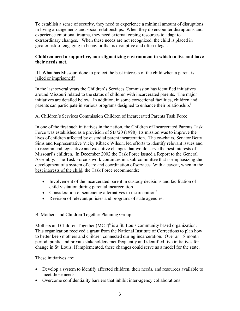To establish a sense of security, they need to experience a minimal amount of disruptions in living arrangements and social relationships. When they do encounter disruptions and experience emotional trauma, they need external coping resources to adapt to extraordinary changes. When these needs are not recognized, the child is placed in greater risk of engaging in behavior that is disruptive and often illegal.

#### **Children need a supportive, non-stigmatizing environment in which to live and have their needs met.**

#### III. What has Missouri done to protect the best interests of the child when a parent is jailed or imprisoned?

In the last several years the Children's Services Commission has identified initiatives around Missouri related to the status of children with incarcerated parents. The major initiatives are detailed below. In addition, in some correctional facilities, children and parents can participate in various programs designed to enhance their relationship.<sup>6</sup>

#### A. Children's Services Commission Children of Incarcerated Parents Task Force

In one of the first such initiatives in the nation, the Children of Incarcerated Parents Task Force was established as a provision of SB720 (1998). Its mission was to improve the lives of children affected by custodial parent incarceration. The co-chairs, Senator Betty Sims and Representative Vicky Riback Wilson, led efforts to identify relevant issues and to recommend legislative and executive changes that would serve the best interests of Missouri's children. In December 2002 the Task Force issued a Report to the General Assembly. The Task Force's work continues in a sub-committee that is emphasizing the development of a system of care and coordination of services. With a caveat, when in the best interests of the child, the Task Force recommends:

- Involvement of the incarcerated parent in custody decisions and facilitation of child visitation during parental incarceration
- Consideration of sentencing alternatives to incarceration<sup>7</sup>
- Revision of relevant policies and programs of state agencies.

### B. Mothers and Children Together Planning Group

Mothers and Children Together  $(MCT)^8$  is a St. Louis community based organization. This organization received a grant from the National Institute of Corrections to plan how to better keep mothers and children connected during incarceration. Over an 18 month period, public and private stakeholders met frequently and identified five initiatives for change in St. Louis. If implemented, these changes could serve as a model for the state**.** 

#### These initiatives are:

- Develop a system to identify affected children, their needs, and resources available to meet those needs
- Overcome confidentiality barriers that inhibit inter-agency collaborations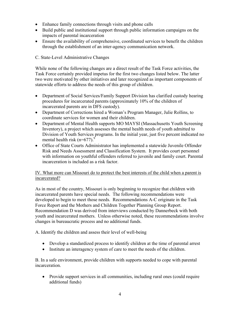- Enhance family connections through visits and phone calls
- Build public and institutional support through public information campaigns on the impacts of parental incarceration
- Ensure the availability of comprehensive, coordinated services to benefit the children through the establishment of an inter-agency communication network.

#### C. State-Level Administrative Changes

While none of the following changes are a direct result of the Task Force activities, the Task Force certainly provided impetus for the first two changes listed below. The latter two were motivated by other initiatives and later recognized as important components of statewide efforts to address the needs of this group of children.

- Department of Social Services/Family Support Division has clarified custody hearing procedures for incarcerated parents (approximately 10% of the children of incarcerated parents are in DFS custody).
- Department of Corrections hired a Woman's Program Manager, Julie Rollins, to coordinate services for women and their children.
- Department of Mental Health supports MO MAYSI (Massachusetts Youth Screening Inventory), a project which assesses the mental health needs of youth admitted to Division of Youth Services programs. In the initial year, just five percent indicated no mental health risk (n=677).<sup>9</sup>
- Office of State Courts Administrator has implemented a statewide Juvenile Offender Risk and Needs Assessment and Classification System. It provides court personnel with information on youthful offenders referred to juvenile and family court. Parental incarceration is included as a risk factor.

#### IV. What more can Missouri do to protect the best interests of the child when a parent is incarcerated?

As in most of the country, Missouri is only beginning to recognize that children with incarcerated parents have special needs. The following recommendations were developed to begin to meet those needs. Recommendations A-C originate in the Task Force Report and the Mothers and Children Together Planning Group Report. Recommendation D was derived from interviews conducted by Dannerbeck with both youth and incarcerated mothers. Unless otherwise noted, these recommendations involve changes in bureaucratic process and no additional funds.

A. Identify the children and assess their level of well-being

- Develop a standardized process to identify children at the time of parental arrest
- Institute an interagency system of care to meet the needs of the children.

B. In a safe environment, provide children with supports needed to cope with parental incarceration.

• Provide support services in all communities, including rural ones (could require additional funds)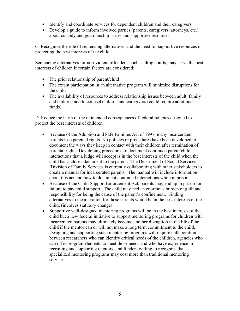- Identify and coordinate services for dependent children and their caregivers
- Develop a guide to inform involved parties (parents, caregivers, attorneys, etc.) about custody and guardianship issues and supportive resources.

C. Recognize the role of sentencing alternatives and the need for supportive resources in protecting the best interests of the child.

Sentencing alternatives for non-violent offenders, such as drug courts, may serve the best interests of children if certain factors are considered:

- The prior relationship of parent/child
- The extent participation in an alternative program will minimize disruptions for the child
- The availability of resources to address relationship issues between adult, family and children and to counsel children and caregivers (could require additional funds).

D. Reduce the harm of the unintended consequences of federal policies designed to protect the best interests of children.

- Because of the Adoption and Safe Families Act of 1997, many incarcerated parents lose parental rights. No policies or procedures have been developed to document the ways they keep in contact with their children after termination of parental rights. Developing procedures to document continued parent/child interactions that a judge will accept is in the best interests of the child when the child has a close attachment to the parent. The Department of Social Services /Division of Family Services is currently collaborating with other stakeholders to create a manual for incarcerated parents. The manual will include information about this act and how to document continued interactions while in prison.
- Because of the Child Support Enforcement Act, parents may end up in prison for failure to pay child support. The child may feel an enormous burden of guilt and responsibility for being the cause of the parent's confinement. Finding alternatives to incarceration for these parents would be in the best interests of the child. (involves statutory change)
- Supportive well-designed mentoring programs will be in the best interests of the child but a new federal initiative to support mentoring programs for children with incarcerated parents may ultimately become another disruption in the life of the child if the mentor can or will not make a long term commitment to the child. Designing and supporting such mentoring programs will require collaboration between researchers who can identify critical needs of the children, agencies who can offer program elements to meet those needs and who have experience in recruiting and supporting mentors, and funders willing to recognize that specialized mentoring programs may cost more than traditional mentoring services.